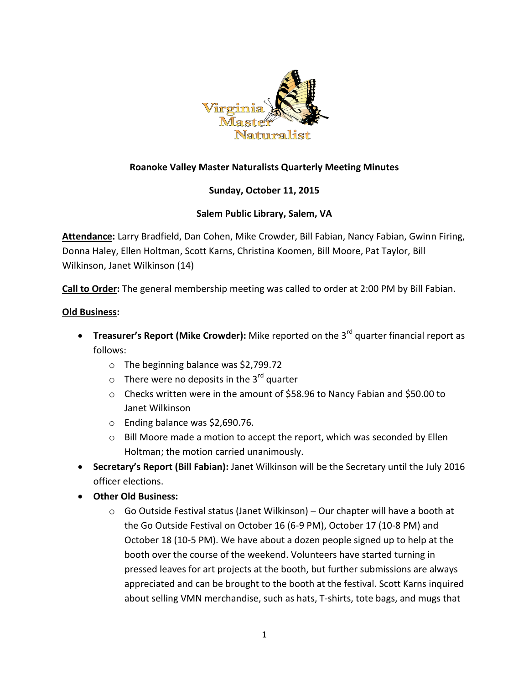

# **Roanoke Valley Master Naturalists Quarterly Meeting Minutes**

## **Sunday, October 11, 2015**

### **Salem Public Library, Salem, VA**

**Attendance:** Larry Bradfield, Dan Cohen, Mike Crowder, Bill Fabian, Nancy Fabian, Gwinn Firing, Donna Haley, Ellen Holtman, Scott Karns, Christina Koomen, Bill Moore, Pat Taylor, Bill Wilkinson, Janet Wilkinson (14)

**Call to Order:** The general membership meeting was called to order at 2:00 PM by Bill Fabian.

#### **Old Business:**

- **Treasurer's Report (Mike Crowder):** Mike reported on the 3<sup>rd</sup> quarter financial report as follows:
	- o The beginning balance was \$2,799.72
	- $\circ$  There were no deposits in the 3<sup>rd</sup> quarter
	- o Checks written were in the amount of \$58.96 to Nancy Fabian and \$50.00 to Janet Wilkinson
	- o Ending balance was \$2,690.76.
	- $\circ$  Bill Moore made a motion to accept the report, which was seconded by Ellen Holtman; the motion carried unanimously.
- **Secretary's Report (Bill Fabian):** Janet Wilkinson will be the Secretary until the July 2016 officer elections.
- **Other Old Business:**
	- $\circ$  Go Outside Festival status (Janet Wilkinson) Our chapter will have a booth at the Go Outside Festival on October 16 (6-9 PM), October 17 (10-8 PM) and October 18 (10-5 PM). We have about a dozen people signed up to help at the booth over the course of the weekend. Volunteers have started turning in pressed leaves for art projects at the booth, but further submissions are always appreciated and can be brought to the booth at the festival. Scott Karns inquired about selling VMN merchandise, such as hats, T-shirts, tote bags, and mugs that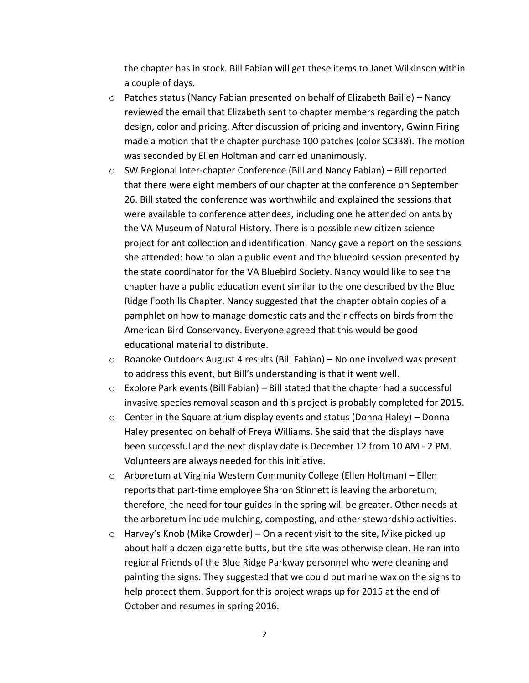the chapter has in stock. Bill Fabian will get these items to Janet Wilkinson within a couple of days.

- $\circ$  Patches status (Nancy Fabian presented on behalf of Elizabeth Bailie) Nancy reviewed the email that Elizabeth sent to chapter members regarding the patch design, color and pricing. After discussion of pricing and inventory, Gwinn Firing made a motion that the chapter purchase 100 patches (color SC338). The motion was seconded by Ellen Holtman and carried unanimously.
- o SW Regional Inter-chapter Conference (Bill and Nancy Fabian) Bill reported that there were eight members of our chapter at the conference on September 26. Bill stated the conference was worthwhile and explained the sessions that were available to conference attendees, including one he attended on ants by the VA Museum of Natural History. There is a possible new citizen science project for ant collection and identification. Nancy gave a report on the sessions she attended: how to plan a public event and the bluebird session presented by the state coordinator for the VA Bluebird Society. Nancy would like to see the chapter have a public education event similar to the one described by the Blue Ridge Foothills Chapter. Nancy suggested that the chapter obtain copies of a pamphlet on how to manage domestic cats and their effects on birds from the American Bird Conservancy. Everyone agreed that this would be good educational material to distribute.
- o Roanoke Outdoors August 4 results (Bill Fabian) No one involved was present to address this event, but Bill's understanding is that it went well.
- o Explore Park events (Bill Fabian) Bill stated that the chapter had a successful invasive species removal season and this project is probably completed for 2015.
- o Center in the Square atrium display events and status (Donna Haley) Donna Haley presented on behalf of Freya Williams. She said that the displays have been successful and the next display date is December 12 from 10 AM - 2 PM. Volunteers are always needed for this initiative.
- o Arboretum at Virginia Western Community College (Ellen Holtman) Ellen reports that part-time employee Sharon Stinnett is leaving the arboretum; therefore, the need for tour guides in the spring will be greater. Other needs at the arboretum include mulching, composting, and other stewardship activities.
- $\circ$  Harvey's Knob (Mike Crowder) On a recent visit to the site, Mike picked up about half a dozen cigarette butts, but the site was otherwise clean. He ran into regional Friends of the Blue Ridge Parkway personnel who were cleaning and painting the signs. They suggested that we could put marine wax on the signs to help protect them. Support for this project wraps up for 2015 at the end of October and resumes in spring 2016.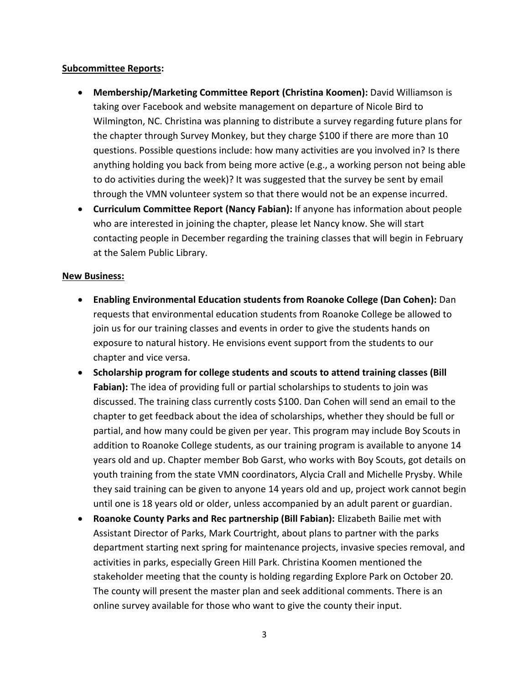#### **Subcommittee Reports:**

- **Membership/Marketing Committee Report (Christina Koomen):** David Williamson is taking over Facebook and website management on departure of Nicole Bird to Wilmington, NC. Christina was planning to distribute a survey regarding future plans for the chapter through Survey Monkey, but they charge \$100 if there are more than 10 questions. Possible questions include: how many activities are you involved in? Is there anything holding you back from being more active (e.g., a working person not being able to do activities during the week)? It was suggested that the survey be sent by email through the VMN volunteer system so that there would not be an expense incurred.
- **Curriculum Committee Report (Nancy Fabian):** If anyone has information about people who are interested in joining the chapter, please let Nancy know. She will start contacting people in December regarding the training classes that will begin in February at the Salem Public Library.

#### **New Business:**

- **Enabling Environmental Education students from Roanoke College (Dan Cohen):** Dan requests that environmental education students from Roanoke College be allowed to join us for our training classes and events in order to give the students hands on exposure to natural history. He envisions event support from the students to our chapter and vice versa.
- **Scholarship program for college students and scouts to attend training classes (Bill Fabian):** The idea of providing full or partial scholarships to students to join was discussed. The training class currently costs \$100. Dan Cohen will send an email to the chapter to get feedback about the idea of scholarships, whether they should be full or partial, and how many could be given per year. This program may include Boy Scouts in addition to Roanoke College students, as our training program is available to anyone 14 years old and up. Chapter member Bob Garst, who works with Boy Scouts, got details on youth training from the state VMN coordinators, Alycia Crall and Michelle Prysby. While they said training can be given to anyone 14 years old and up, project work cannot begin until one is 18 years old or older, unless accompanied by an adult parent or guardian.
- **Roanoke County Parks and Rec partnership (Bill Fabian):** Elizabeth Bailie met with Assistant Director of Parks, Mark Courtright, about plans to partner with the parks department starting next spring for maintenance projects, invasive species removal, and activities in parks, especially Green Hill Park. Christina Koomen mentioned the stakeholder meeting that the county is holding regarding Explore Park on October 20. The county will present the master plan and seek additional comments. There is an online survey available for those who want to give the county their input.